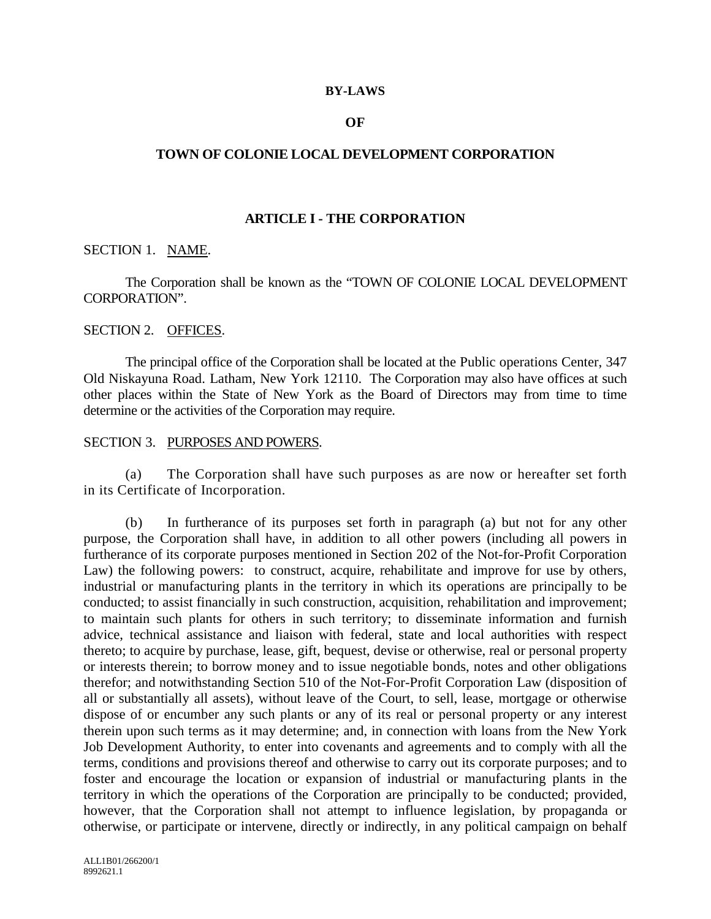#### **BY-LAWS**

### **OF**

## **TOWN OF COLONIE LOCAL DEVELOPMENT CORPORATION**

### **ARTICLE I - THE CORPORATION**

## SECTION 1. NAME.

The Corporation shall be known as the "TOWN OF COLONIE LOCAL DEVELOPMENT CORPORATION".

#### SECTION 2. OFFICES.

The principal office of the Corporation shall be located at the Public operations Center, 347 Old Niskayuna Road. Latham, New York 12110. The Corporation may also have offices at such other places within the State of New York as the Board of Directors may from time to time determine or the activities of the Corporation may require.

### SECTION 3. PURPOSES AND POWERS.

(a) The Corporation shall have such purposes as are now or hereafter set forth in its Certificate of Incorporation.

(b) In furtherance of its purposes set forth in paragraph (a) but not for any other purpose, the Corporation shall have, in addition to all other powers (including all powers in furtherance of its corporate purposes mentioned in Section 202 of the Not-for-Profit Corporation Law) the following powers: to construct, acquire, rehabilitate and improve for use by others, industrial or manufacturing plants in the territory in which its operations are principally to be conducted; to assist financially in such construction, acquisition, rehabilitation and improvement; to maintain such plants for others in such territory; to disseminate information and furnish advice, technical assistance and liaison with federal, state and local authorities with respect thereto; to acquire by purchase, lease, gift, bequest, devise or otherwise, real or personal property or interests therein; to borrow money and to issue negotiable bonds, notes and other obligations therefor; and notwithstanding Section 510 of the Not-For-Profit Corporation Law (disposition of all or substantially all assets), without leave of the Court, to sell, lease, mortgage or otherwise dispose of or encumber any such plants or any of its real or personal property or any interest therein upon such terms as it may determine; and, in connection with loans from the New York Job Development Authority, to enter into covenants and agreements and to comply with all the terms, conditions and provisions thereof and otherwise to carry out its corporate purposes; and to foster and encourage the location or expansion of industrial or manufacturing plants in the territory in which the operations of the Corporation are principally to be conducted; provided, however, that the Corporation shall not attempt to influence legislation, by propaganda or otherwise, or participate or intervene, directly or indirectly, in any political campaign on behalf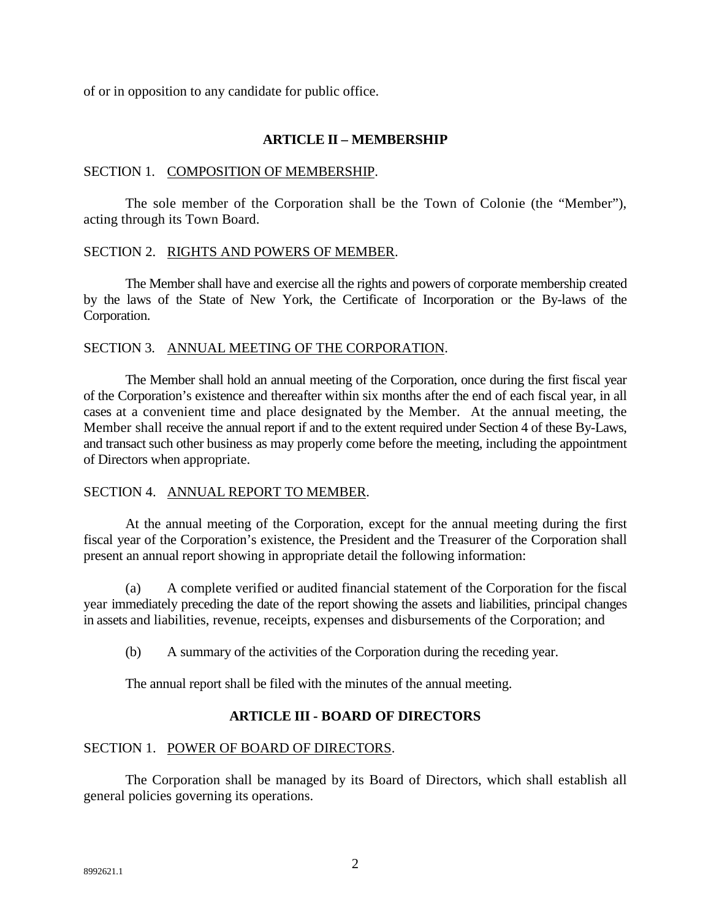of or in opposition to any candidate for public office.

# **ARTICLE II – MEMBERSHIP**

## SECTION 1. COMPOSITION OF MEMBERSHIP.

The sole member of the Corporation shall be the Town of Colonie (the "Member"), acting through its Town Board.

### SECTION 2. RIGHTS AND POWERS OF MEMBER.

The Member shall have and exercise all the rights and powers of corporate membership created by the laws of the State of New York, the Certificate of Incorporation or the By-laws of the Corporation.

### SECTION 3. ANNUAL MEETING OF THE CORPORATION.

The Member shall hold an annual meeting of the Corporation, once during the first fiscal year of the Corporation's existence and thereafter within six months after the end of each fiscal year, in all cases at a convenient time and place designated by the Member. At the annual meeting, the Member shall receive the annual report if and to the extent required under Section 4 of these By-Laws, and transact such other business as may properly come before the meeting, including the appointment of Directors when appropriate.

# SECTION 4. ANNUAL REPORT TO MEMBER.

At the annual meeting of the Corporation, except for the annual meeting during the first fiscal year of the Corporation's existence, the President and the Treasurer of the Corporation shall present an annual report showing in appropriate detail the following information:

(a) A complete verified or audited financial statement of the Corporation for the fiscal year immediately preceding the date of the report showing the assets and liabilities, principal changes in assets and liabilities, revenue, receipts, expenses and disbursements of the Corporation; and

(b) A summary of the activities of the Corporation during the receding year.

The annual report shall be filed with the minutes of the annual meeting.

# **ARTICLE III - BOARD OF DIRECTORS**

# SECTION 1. POWER OF BOARD OF DIRECTORS.

The Corporation shall be managed by its Board of Directors, which shall establish all general policies governing its operations.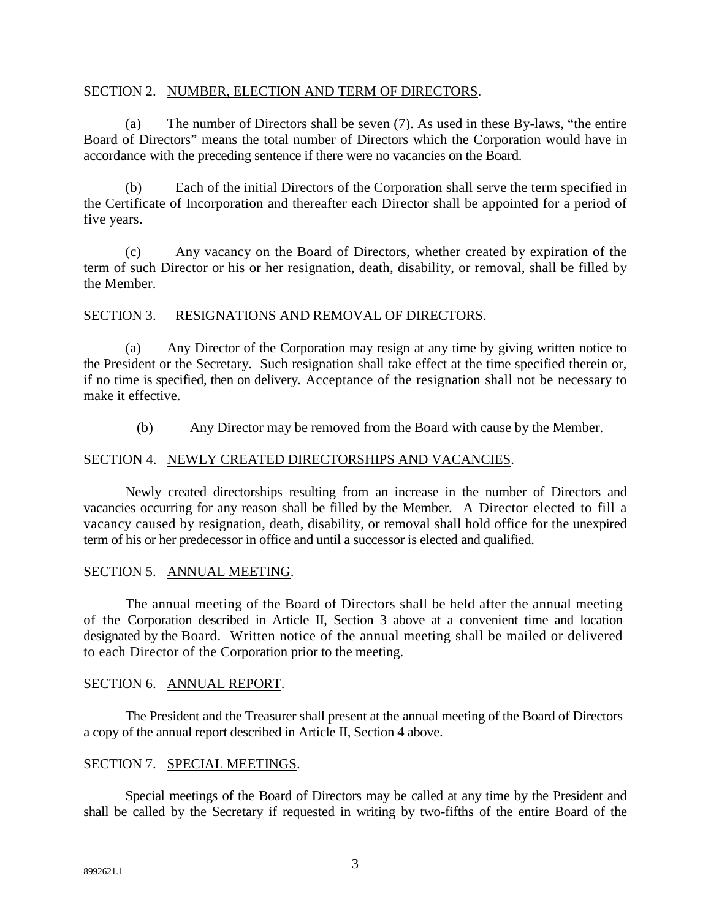### SECTION 2. NUMBER, ELECTION AND TERM OF DIRECTORS.

(a) The number of Directors shall be seven (7). As used in these By-laws, "the entire Board of Directors" means the total number of Directors which the Corporation would have in accordance with the preceding sentence if there were no vacancies on the Board.

(b) Each of the initial Directors of the Corporation shall serve the term specified in the Certificate of Incorporation and thereafter each Director shall be appointed for a period of five years.

(c) Any vacancy on the Board of Directors, whether created by expiration of the term of such Director or his or her resignation, death, disability, or removal, shall be filled by the Member.

# SECTION 3. RESIGNATIONS AND REMOVAL OF DIRECTORS.

(a) Any Director of the Corporation may resign at any time by giving written notice to the President or the Secretary. Such resignation shall take effect at the time specified therein or, if no time is specified, then on delivery. Acceptance of the resignation shall not be necessary to make it effective.

(b) Any Director may be removed from the Board with cause by the Member.

# SECTION 4. NEWLY CREATED DIRECTORSHIPS AND VACANCIES.

Newly created directorships resulting from an increase in the number of Directors and vacancies occurring for any reason shall be filled by the Member. A Director elected to fill a vacancy caused by resignation, death, disability, or removal shall hold office for the unexpired term of his or her predecessor in office and until a successor is elected and qualified.

# SECTION 5. ANNUAL MEETING.

The annual meeting of the Board of Directors shall be held after the annual meeting of the Corporation described in Article II, Section 3 above at a convenient time and location designated by the Board. Written notice of the annual meeting shall be mailed or delivered to each Director of the Corporation prior to the meeting.

# SECTION 6. ANNUAL REPORT.

The President and the Treasurer shall present at the annual meeting of the Board of Directors a copy of the annual report described in Article II, Section 4 above.

# SECTION 7. SPECIAL MEETINGS.

Special meetings of the Board of Directors may be called at any time by the President and shall be called by the Secretary if requested in writing by two-fifths of the entire Board of the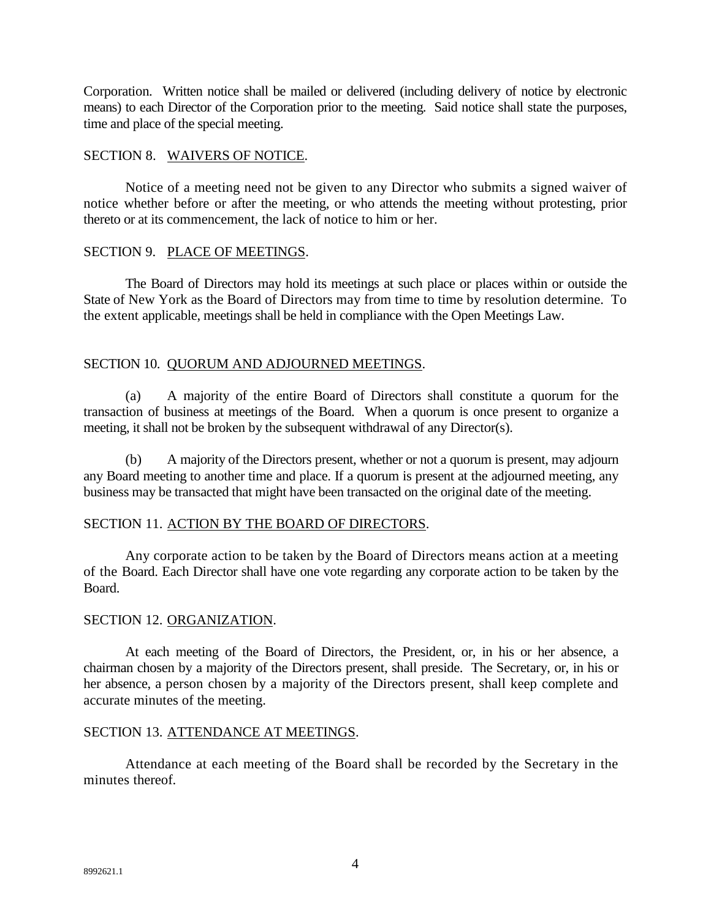Corporation. Written notice shall be mailed or delivered (including delivery of notice by electronic means) to each Director of the Corporation prior to the meeting. Said notice shall state the purposes, time and place of the special meeting.

# SECTION 8. WAIVERS OF NOTICE.

Notice of a meeting need not be given to any Director who submits a signed waiver of notice whether before or after the meeting, or who attends the meeting without protesting, prior thereto or at its commencement, the lack of notice to him or her.

### SECTION 9. PLACE OF MEETINGS.

The Board of Directors may hold its meetings at such place or places within or outside the State of New York as the Board of Directors may from time to time by resolution determine. To the extent applicable, meetings shall be held in compliance with the Open Meetings Law.

# SECTION 10. QUORUM AND ADJOURNED MEETINGS.

(a) A majority of the entire Board of Directors shall constitute a quorum for the transaction of business at meetings of the Board. When a quorum is once present to organize a meeting, it shall not be broken by the subsequent withdrawal of any Director(s).

(b) A majority of the Directors present, whether or not a quorum is present, may adjourn any Board meeting to another time and place. If a quorum is present at the adjourned meeting, any business may be transacted that might have been transacted on the original date of the meeting.

# SECTION 11. ACTION BY THE BOARD OF DIRECTORS.

Any corporate action to be taken by the Board of Directors means action at a meeting of the Board. Each Director shall have one vote regarding any corporate action to be taken by the Board.

# SECTION 12. ORGANIZATION.

At each meeting of the Board of Directors, the President, or, in his or her absence, a chairman chosen by a majority of the Directors present, shall preside. The Secretary, or, in his or her absence, a person chosen by a majority of the Directors present, shall keep complete and accurate minutes of the meeting.

# SECTION 13. ATTENDANCE AT MEETINGS.

Attendance at each meeting of the Board shall be recorded by the Secretary in the minutes thereof.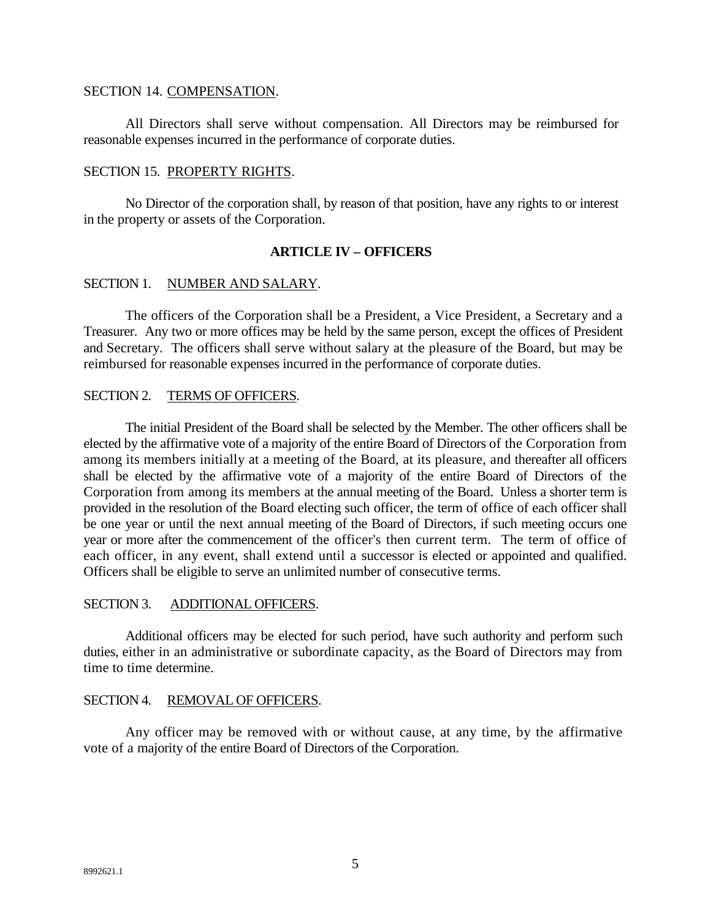## SECTION 14. COMPENSATION.

All Directors shall serve without compensation. All Directors may be reimbursed for reasonable expenses incurred in the performance of corporate duties.

### SECTION 15. PROPERTY RIGHTS.

No Director of the corporation shall, by reason of that position, have any rights to or interest in the property or assets of the Corporation.

### **ARTICLE IV – OFFICERS**

### SECTION 1. NUMBER AND SALARY.

The officers of the Corporation shall be a President, a Vice President, a Secretary and a Treasurer. Any two or more offices may be held by the same person, except the offices of President and Secretary. The officers shall serve without salary at the pleasure of the Board, but may be reimbursed for reasonable expenses incurred in the performance of corporate duties.

#### SECTION 2. TERMS OF OFFICERS.

The initial President of the Board shall be selected by the Member. The other officers shall be elected by the affirmative vote of a majority of the entire Board of Directors of the Corporation from among its members initially at a meeting of the Board, at its pleasure, and thereafter all officers shall be elected by the affirmative vote of a majority of the entire Board of Directors of the Corporation from among its members at the annual meeting of the Board. Unless a shorter term is provided in the resolution of the Board electing such officer, the term of office of each officer shall be one year or until the next annual meeting of the Board of Directors, if such meeting occurs one year or more after the commencement of the officer's then current term. The term of office of each officer, in any event, shall extend until a successor is elected or appointed and qualified. Officers shall be eligible to serve an unlimited number of consecutive terms.

### SECTION 3. ADDITIONAL OFFICERS.

Additional officers may be elected for such period, have such authority and perform such duties, either in an administrative or subordinate capacity, as the Board of Directors may from time to time determine.

#### SECTION 4. REMOVAL OF OFFICERS.

Any officer may be removed with or without cause, at any time, by the affirmative vote of a majority of the entire Board of Directors of the Corporation.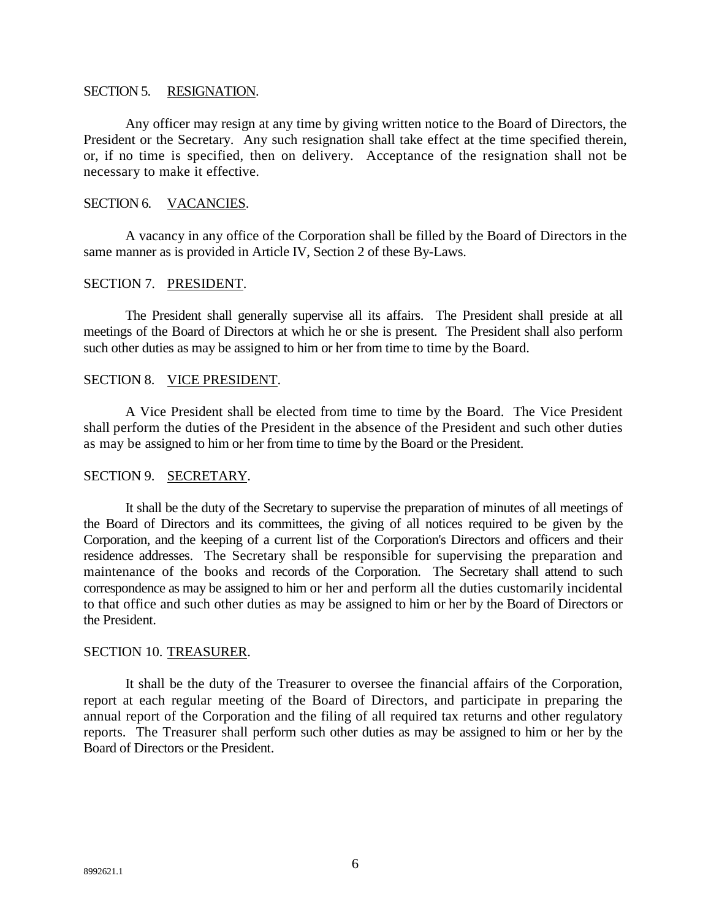#### SECTION 5. RESIGNATION.

Any officer may resign at any time by giving written notice to the Board of Directors, the President or the Secretary. Any such resignation shall take effect at the time specified therein, or, if no time is specified, then on delivery. Acceptance of the resignation shall not be necessary to make it effective.

### SECTION 6. VACANCIES.

A vacancy in any office of the Corporation shall be filled by the Board of Directors in the same manner as is provided in Article IV, Section 2 of these By-Laws.

### SECTION 7. PRESIDENT.

The President shall generally supervise all its affairs. The President shall preside at all meetings of the Board of Directors at which he or she is present. The President shall also perform such other duties as may be assigned to him or her from time to time by the Board.

### SECTION 8. VICE PRESIDENT.

A Vice President shall be elected from time to time by the Board. The Vice President shall perform the duties of the President in the absence of the President and such other duties as may be assigned to him or her from time to time by the Board or the President.

# SECTION 9. SECRETARY.

It shall be the duty of the Secretary to supervise the preparation of minutes of all meetings of the Board of Directors and its committees, the giving of all notices required to be given by the Corporation, and the keeping of a current list of the Corporation's Directors and officers and their residence addresses. The Secretary shall be responsible for supervising the preparation and maintenance of the books and records of the Corporation. The Secretary shall attend to such correspondence as may be assigned to him or her and perform all the duties customarily incidental to that office and such other duties as may be assigned to him or her by the Board of Directors or the President.

### SECTION 10. TREASURER.

It shall be the duty of the Treasurer to oversee the financial affairs of the Corporation, report at each regular meeting of the Board of Directors, and participate in preparing the annual report of the Corporation and the filing of all required tax returns and other regulatory reports. The Treasurer shall perform such other duties as may be assigned to him or her by the Board of Directors or the President.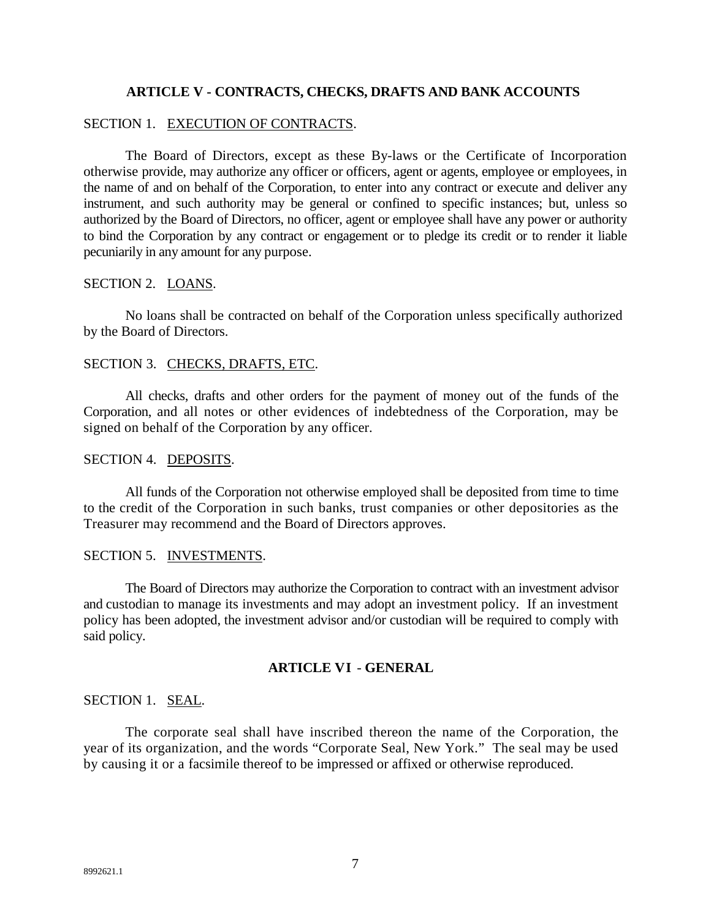# **ARTICLE V - CONTRACTS, CHECKS, DRAFTS AND BANK ACCOUNTS**

### SECTION 1. EXECUTION OF CONTRACTS.

The Board of Directors, except as these By-laws or the Certificate of Incorporation otherwise provide, may authorize any officer or officers, agent or agents, employee or employees, in the name of and on behalf of the Corporation, to enter into any contract or execute and deliver any instrument, and such authority may be general or confined to specific instances; but, unless so authorized by the Board of Directors, no officer, agent or employee shall have any power or authority to bind the Corporation by any contract or engagement or to pledge its credit or to render it liable pecuniarily in any amount for any purpose.

#### SECTION 2. LOANS.

No loans shall be contracted on behalf of the Corporation unless specifically authorized by the Board of Directors.

# SECTION 3. CHECKS, DRAFTS, ETC.

All checks, drafts and other orders for the payment of money out of the funds of the Corporation, and all notes or other evidences of indebtedness of the Corporation, may be signed on behalf of the Corporation by any officer.

### SECTION 4. DEPOSITS.

All funds of the Corporation not otherwise employed shall be deposited from time to time to the credit of the Corporation in such banks, trust companies or other depositories as the Treasurer may recommend and the Board of Directors approves.

# SECTION 5. INVESTMENTS.

The Board of Directors may authorize the Corporation to contract with an investment advisor and custodian to manage its investments and may adopt an investment policy. If an investment policy has been adopted, the investment advisor and/or custodian will be required to comply with said policy.

### **ARTICLE VI** - **GENERAL**

### SECTION 1. SEAL.

The corporate seal shall have inscribed thereon the name of the Corporation, the year of its organization, and the words "Corporate Seal, New York." The seal may be used by causing it or a facsimile thereof to be impressed or affixed or otherwise reproduced.